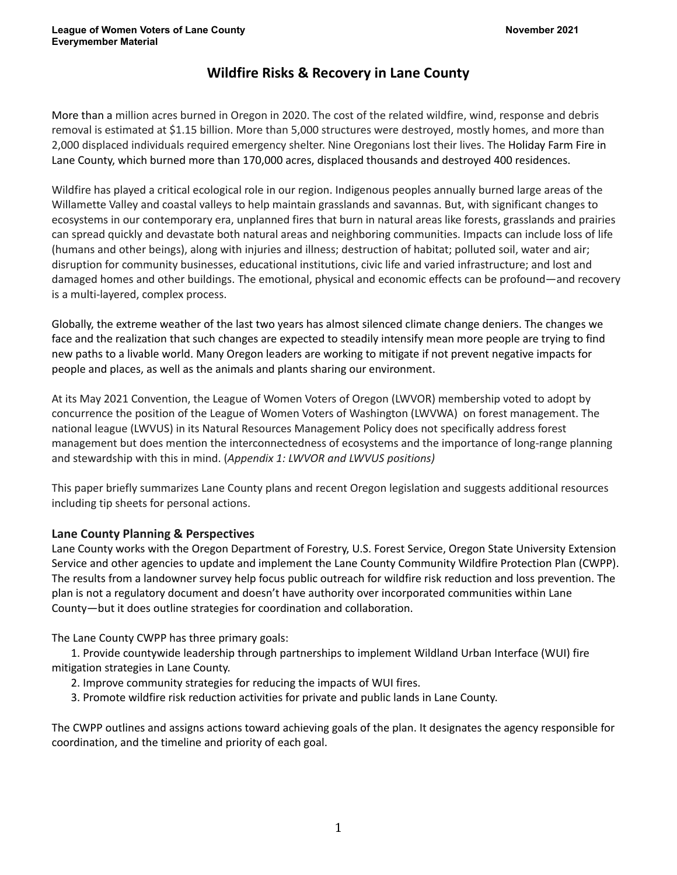# **Wildfire Risks & Recovery in Lane County**

More than a million acres burned in Oregon in 2020. The cost of the related wildfire, wind, response and debris removal is estimated at \$1.15 billion. More than 5,000 structures were destroyed, mostly homes, and more than 2,000 displaced individuals required emergency shelter. Nine Oregonians lost their lives. The Holiday Farm Fire in Lane County, which burned more than 170,000 acres, displaced thousands and destroyed 400 residences.

Wildfire has played a critical ecological role in our region. Indigenous peoples annually burned large areas of the Willamette Valley and coastal valleys to help maintain grasslands and savannas. But, with significant changes to ecosystems in our contemporary era, unplanned fires that burn in natural areas like forests, grasslands and prairies can spread quickly and devastate both natural areas and neighboring communities. Impacts can include loss of life (humans and other beings), along with injuries and illness; destruction of habitat; polluted soil, water and air; disruption for community businesses, educational institutions, civic life and varied infrastructure; and lost and damaged homes and other buildings. The emotional, physical and economic effects can be profound—and recovery is a multi-layered, complex process.

Globally, the extreme weather of the last two years has almost silenced climate change deniers. The changes we face and the realization that such changes are expected to steadily intensify mean more people are trying to find new paths to a livable world. Many Oregon leaders are working to mitigate if not prevent negative impacts for people and places, as well as the animals and plants sharing our environment.

At its May 2021 Convention, the League of Women Voters of Oregon (LWVOR) membership voted to adopt by concurrence the position of the League of Women Voters of Washington (LWVWA) on forest management. The national league (LWVUS) in its Natural Resources Management Policy does not specifically address forest management but does mention the interconnectedness of ecosystems and the importance of long-range planning and stewardship with this in mind. (*Appendix 1: LWVOR and LWVUS positions)*

This paper briefly summarizes Lane County plans and recent Oregon legislation and suggests additional resources including tip sheets for personal actions.

### **Lane County Planning & Perspectives**

Lane County works with the Oregon Department of Forestry, U.S. Forest Service, Oregon State University Extension Service and other agencies to update and implement the Lane County Community Wildfire Protection Plan (CWPP). The results from a landowner survey help focus public outreach for wildfire risk reduction and loss prevention. The plan is not a regulatory document and doesn't have authority over incorporated communities within Lane County—but it does outline strategies for coordination and collaboration.

The Lane County CWPP has three primary goals:

1. Provide countywide leadership through partnerships to implement Wildland Urban Interface (WUI) fire mitigation strategies in Lane County.

- 2. Improve community strategies for reducing the impacts of WUI fires.
- 3. Promote wildfire risk reduction activities for private and public lands in Lane County.

The CWPP outlines and assigns actions toward achieving goals of the plan. It designates the agency responsible for coordination, and the timeline and priority of each goal.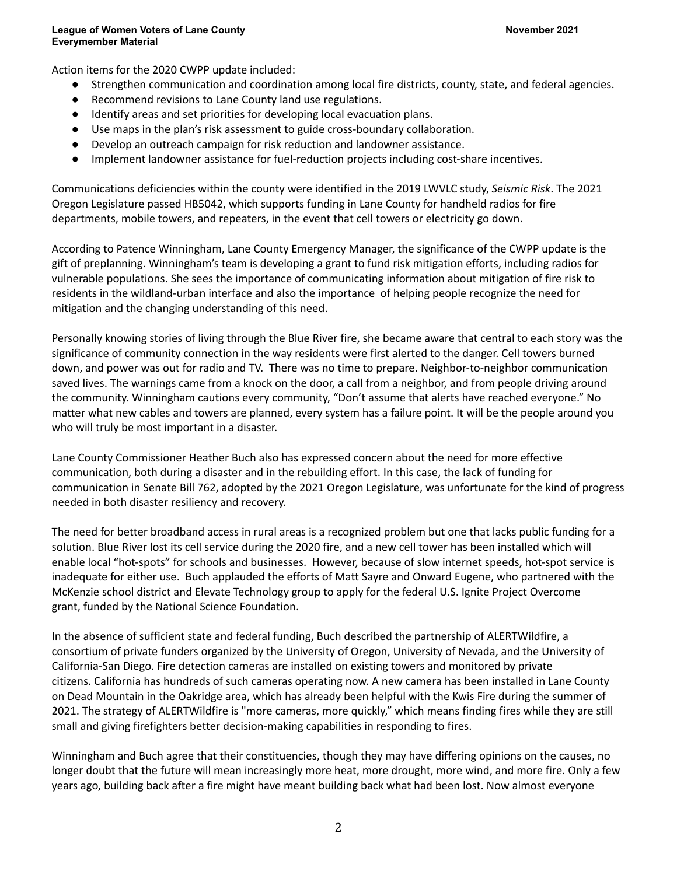Action items for the 2020 CWPP update included:

- Strengthen communication and coordination among local fire districts, county, state, and federal agencies.
- Recommend revisions to Lane County land use regulations.
- Identify areas and set priorities for developing local evacuation plans.
- Use maps in the plan's risk assessment to guide cross-boundary collaboration.
- Develop an outreach campaign for risk reduction and landowner assistance.
- Implement landowner assistance for fuel-reduction projects including cost-share incentives.

Communications deficiencies within the county were identified in the 2019 LWVLC study, *Seismic Risk*. The 2021 Oregon Legislature passed HB5042, which supports funding in Lane County for handheld radios for fire departments, mobile towers, and repeaters, in the event that cell towers or electricity go down.

According to Patence Winningham, Lane County Emergency Manager, the significance of the CWPP update is the gift of preplanning. Winningham's team is developing a grant to fund risk mitigation efforts, including radios for vulnerable populations. She sees the importance of communicating information about mitigation of fire risk to residents in the wildland-urban interface and also the importance of helping people recognize the need for mitigation and the changing understanding of this need.

Personally knowing stories of living through the Blue River fire, she became aware that central to each story was the significance of community connection in the way residents were first alerted to the danger. Cell towers burned down, and power was out for radio and TV. There was no time to prepare. Neighbor-to-neighbor communication saved lives. The warnings came from a knock on the door, a call from a neighbor, and from people driving around the community. Winningham cautions every community, "Don't assume that alerts have reached everyone." No matter what new cables and towers are planned, every system has a failure point. It will be the people around you who will truly be most important in a disaster.

Lane County Commissioner Heather Buch also has expressed concern about the need for more effective communication, both during a disaster and in the rebuilding effort. In this case, the lack of funding for communication in Senate Bill 762, adopted by the 2021 Oregon Legislature, was unfortunate for the kind of progress needed in both disaster resiliency and recovery.

The need for better broadband access in rural areas is a recognized problem but one that lacks public funding for a solution. Blue River lost its cell service during the 2020 fire, and a new cell tower has been installed which will enable local "hot-spots" for schools and businesses. However, because of slow internet speeds, hot-spot service is inadequate for either use. Buch applauded the efforts of Matt Sayre and Onward Eugene, who partnered with the McKenzie school district and Elevate Technology group to apply for the federal U.S. Ignite Project Overcome grant, funded by the National Science Foundation.

In the absence of sufficient state and federal funding, Buch described the partnership of ALERTWildfire, a consortium of private funders organized by the University of Oregon, University of Nevada, and the University of California-San Diego. Fire detection cameras are installed on existing towers and monitored by private citizens. California has hundreds of such cameras operating now. A new camera has been installed in Lane County on Dead Mountain in the Oakridge area, which has already been helpful with the Kwis Fire during the summer of 2021. The strategy of ALERTWildfire is "more cameras, more quickly," which means finding fires while they are still small and giving firefighters better decision-making capabilities in responding to fires.

Winningham and Buch agree that their constituencies, though they may have differing opinions on the causes, no longer doubt that the future will mean increasingly more heat, more drought, more wind, and more fire. Only a few years ago, building back after a fire might have meant building back what had been lost. Now almost everyone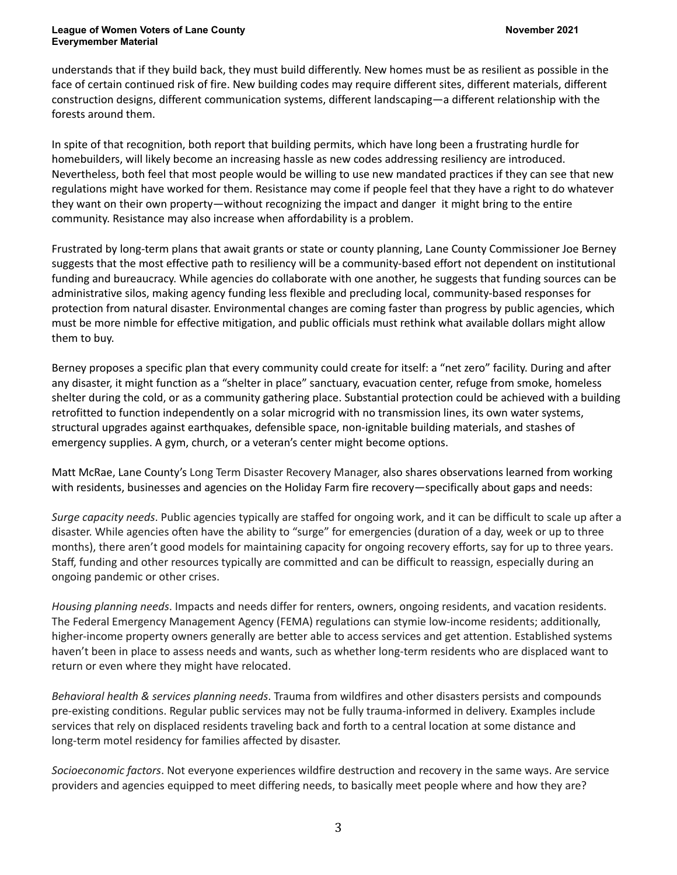understands that if they build back, they must build differently. New homes must be as resilient as possible in the face of certain continued risk of fire. New building codes may require different sites, different materials, different construction designs, different communication systems, different landscaping—a different relationship with the forests around them.

In spite of that recognition, both report that building permits, which have long been a frustrating hurdle for homebuilders, will likely become an increasing hassle as new codes addressing resiliency are introduced. Nevertheless, both feel that most people would be willing to use new mandated practices if they can see that new regulations might have worked for them. Resistance may come if people feel that they have a right to do whatever they want on their own property—without recognizing the impact and danger it might bring to the entire community. Resistance may also increase when affordability is a problem.

Frustrated by long-term plans that await grants or state or county planning, Lane County Commissioner Joe Berney suggests that the most effective path to resiliency will be a community-based effort not dependent on institutional funding and bureaucracy. While agencies do collaborate with one another, he suggests that funding sources can be administrative silos, making agency funding less flexible and precluding local, community-based responses for protection from natural disaster. Environmental changes are coming faster than progress by public agencies, which must be more nimble for effective mitigation, and public officials must rethink what available dollars might allow them to buy.

Berney proposes a specific plan that every community could create for itself: a "net zero" facility. During and after any disaster, it might function as a "shelter in place" sanctuary, evacuation center, refuge from smoke, homeless shelter during the cold, or as a community gathering place. Substantial protection could be achieved with a building retrofitted to function independently on a solar microgrid with no transmission lines, its own water systems, structural upgrades against earthquakes, defensible space, non-ignitable building materials, and stashes of emergency supplies. A gym, church, or a veteran's center might become options.

Matt McRae, Lane County's Long Term Disaster Recovery Manager, also shares observations learned from working with residents, businesses and agencies on the Holiday Farm fire recovery—specifically about gaps and needs:

*Surge capacity needs*. Public agencies typically are staffed for ongoing work, and it can be difficult to scale up after a disaster. While agencies often have the ability to "surge" for emergencies (duration of a day, week or up to three months), there aren't good models for maintaining capacity for ongoing recovery efforts, say for up to three years. Staff, funding and other resources typically are committed and can be difficult to reassign, especially during an ongoing pandemic or other crises.

*Housing planning needs*. Impacts and needs differ for renters, owners, ongoing residents, and vacation residents. The Federal Emergency Management Agency (FEMA) regulations can stymie low-income residents; additionally, higher-income property owners generally are better able to access services and get attention. Established systems haven't been in place to assess needs and wants, such as whether long-term residents who are displaced want to return or even where they might have relocated.

*Behavioral health & services planning needs*. Trauma from wildfires and other disasters persists and compounds pre-existing conditions. Regular public services may not be fully trauma-informed in delivery. Examples include services that rely on displaced residents traveling back and forth to a central location at some distance and long-term motel residency for families affected by disaster.

*Socioeconomic factors*. Not everyone experiences wildfire destruction and recovery in the same ways. Are service providers and agencies equipped to meet differing needs, to basically meet people where and how they are?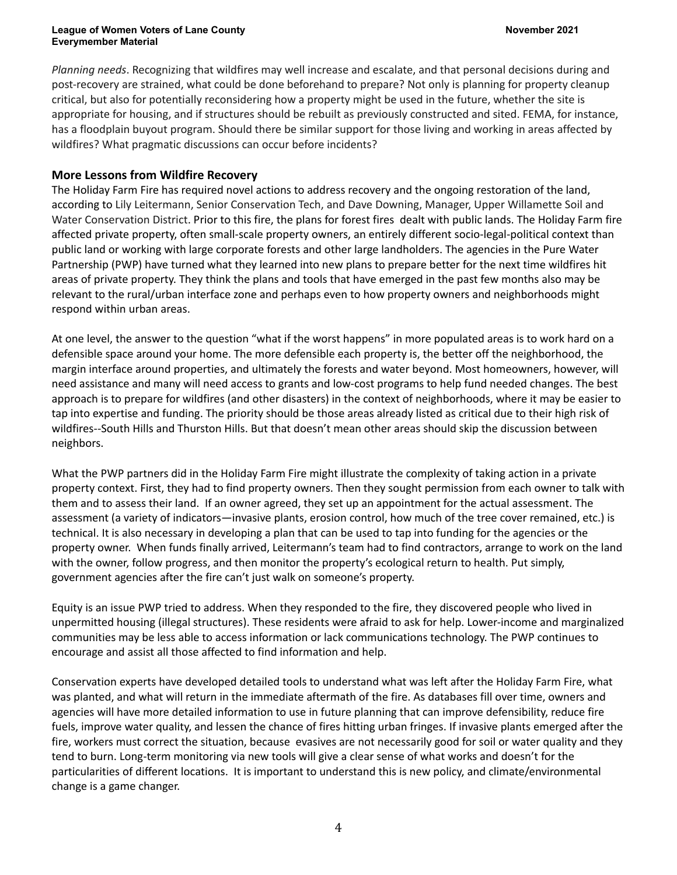*Planning needs*. Recognizing that wildfires may well increase and escalate, and that personal decisions during and post-recovery are strained, what could be done beforehand to prepare? Not only is planning for property cleanup critical, but also for potentially reconsidering how a property might be used in the future, whether the site is appropriate for housing, and if structures should be rebuilt as previously constructed and sited. FEMA, for instance, has a floodplain buyout program. Should there be similar support for those living and working in areas affected by wildfires? What pragmatic discussions can occur before incidents?

### **More Lessons from Wildfire Recovery**

The Holiday Farm Fire has required novel actions to address recovery and the ongoing restoration of the land, according to Lily Leitermann, Senior Conservation Tech, and Dave Downing, Manager, Upper Willamette Soil and Water Conservation District. Prior to this fire, the plans for forest fires dealt with public lands. The Holiday Farm fire affected private property, often small-scale property owners, an entirely different socio-legal-political context than public land or working with large corporate forests and other large landholders. The agencies in the Pure Water Partnership (PWP) have turned what they learned into new plans to prepare better for the next time wildfires hit areas of private property. They think the plans and tools that have emerged in the past few months also may be relevant to the rural/urban interface zone and perhaps even to how property owners and neighborhoods might respond within urban areas.

At one level, the answer to the question "what if the worst happens" in more populated areas is to work hard on a defensible space around your home. The more defensible each property is, the better off the neighborhood, the margin interface around properties, and ultimately the forests and water beyond. Most homeowners, however, will need assistance and many will need access to grants and low-cost programs to help fund needed changes. The best approach is to prepare for wildfires (and other disasters) in the context of neighborhoods, where it may be easier to tap into expertise and funding. The priority should be those areas already listed as critical due to their high risk of wildfires--South Hills and Thurston Hills. But that doesn't mean other areas should skip the discussion between neighbors.

What the PWP partners did in the Holiday Farm Fire might illustrate the complexity of taking action in a private property context. First, they had to find property owners. Then they sought permission from each owner to talk with them and to assess their land. If an owner agreed, they set up an appointment for the actual assessment. The assessment (a variety of indicators—invasive plants, erosion control, how much of the tree cover remained, etc.) is technical. It is also necessary in developing a plan that can be used to tap into funding for the agencies or the property owner. When funds finally arrived, Leitermann's team had to find contractors, arrange to work on the land with the owner, follow progress, and then monitor the property's ecological return to health. Put simply, government agencies after the fire can't just walk on someone's property.

Equity is an issue PWP tried to address. When they responded to the fire, they discovered people who lived in unpermitted housing (illegal structures). These residents were afraid to ask for help. Lower-income and marginalized communities may be less able to access information or lack communications technology. The PWP continues to encourage and assist all those affected to find information and help.

Conservation experts have developed detailed tools to understand what was left after the Holiday Farm Fire, what was planted, and what will return in the immediate aftermath of the fire. As databases fill over time, owners and agencies will have more detailed information to use in future planning that can improve defensibility, reduce fire fuels, improve water quality, and lessen the chance of fires hitting urban fringes. If invasive plants emerged after the fire, workers must correct the situation, because evasives are not necessarily good for soil or water quality and they tend to burn. Long-term monitoring via new tools will give a clear sense of what works and doesn't for the particularities of different locations. It is important to understand this is new policy, and climate/environmental change is a game changer.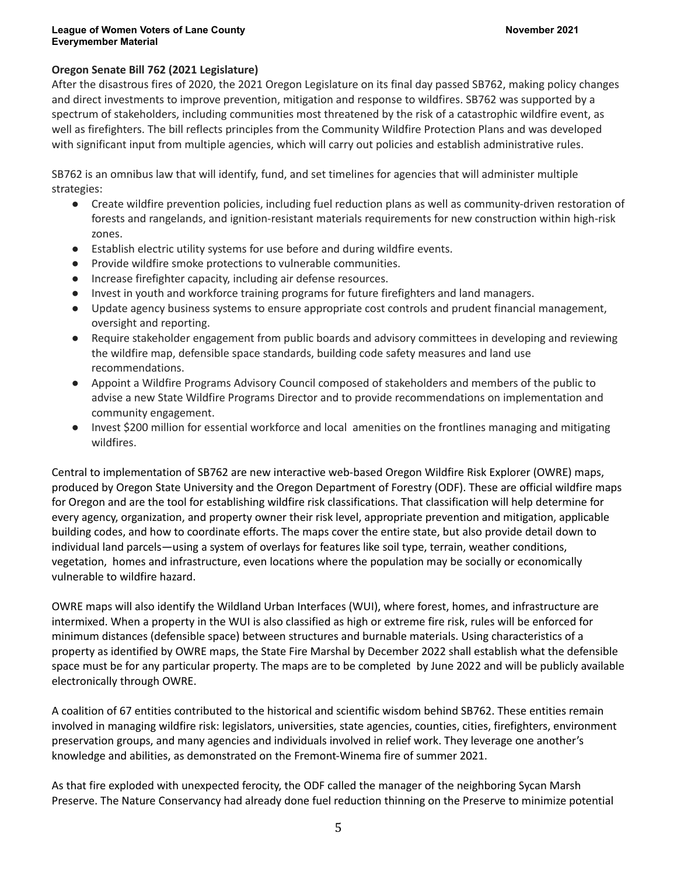### **Oregon Senate Bill 762 (2021 Legislature)**

After the disastrous fires of 2020, the 2021 Oregon Legislature on its final day passed SB762, making policy changes and direct investments to improve prevention, mitigation and response to wildfires. SB762 was supported by a spectrum of stakeholders, including communities most threatened by the risk of a catastrophic wildfire event, as well as firefighters. The bill reflects principles from the Community Wildfire Protection Plans and was developed with significant input from multiple agencies, which will carry out policies and establish administrative rules.

SB762 is an omnibus law that will identify, fund, and set timelines for agencies that will administer multiple strategies:

- Create wildfire prevention policies, including fuel reduction plans as well as community-driven restoration of forests and rangelands, and ignition-resistant materials requirements for new construction within high-risk zones.
- Establish electric utility systems for use before and during wildfire events.
- Provide wildfire smoke protections to vulnerable communities.
- Increase firefighter capacity, including air defense resources.
- Invest in youth and workforce training programs for future firefighters and land managers.
- Update agency business systems to ensure appropriate cost controls and prudent financial management, oversight and reporting.
- Require stakeholder engagement from public boards and advisory committees in developing and reviewing the wildfire map, defensible space standards, building code safety measures and land use recommendations.
- Appoint a Wildfire Programs Advisory Council composed of stakeholders and members of the public to advise a new State Wildfire Programs Director and to provide recommendations on implementation and community engagement.
- Invest \$200 million for essential workforce and local amenities on the frontlines managing and mitigating wildfires.

Central to implementation of SB762 are new interactive web-based Oregon Wildfire Risk Explorer (OWRE) maps, produced by Oregon State University and the Oregon Department of Forestry (ODF). These are official wildfire maps for Oregon and are the tool for establishing wildfire risk classifications. That classification will help determine for every agency, organization, and property owner their risk level, appropriate prevention and mitigation, applicable building codes, and how to coordinate efforts. The maps cover the entire state, but also provide detail down to individual land parcels—using a system of overlays for features like soil type, terrain, weather conditions, vegetation, homes and infrastructure, even locations where the population may be socially or economically vulnerable to wildfire hazard.

OWRE maps will also identify the Wildland Urban Interfaces (WUI), where forest, homes, and infrastructure are intermixed. When a property in the WUI is also classified as high or extreme fire risk, rules will be enforced for minimum distances (defensible space) between structures and burnable materials. Using characteristics of a property as identified by OWRE maps, the State Fire Marshal by December 2022 shall establish what the defensible space must be for any particular property. The maps are to be completed by June 2022 and will be publicly available electronically through OWRE.

A coalition of 67 entities contributed to the historical and scientific wisdom behind SB762. These entities remain involved in managing wildfire risk: legislators, universities, state agencies, counties, cities, firefighters, environment preservation groups, and many agencies and individuals involved in relief work. They leverage one another's knowledge and abilities, as demonstrated on the Fremont-Winema fire of summer 2021.

As that fire exploded with unexpected ferocity, the ODF called the manager of the neighboring Sycan Marsh Preserve. The Nature Conservancy had already done fuel reduction thinning on the Preserve to minimize potential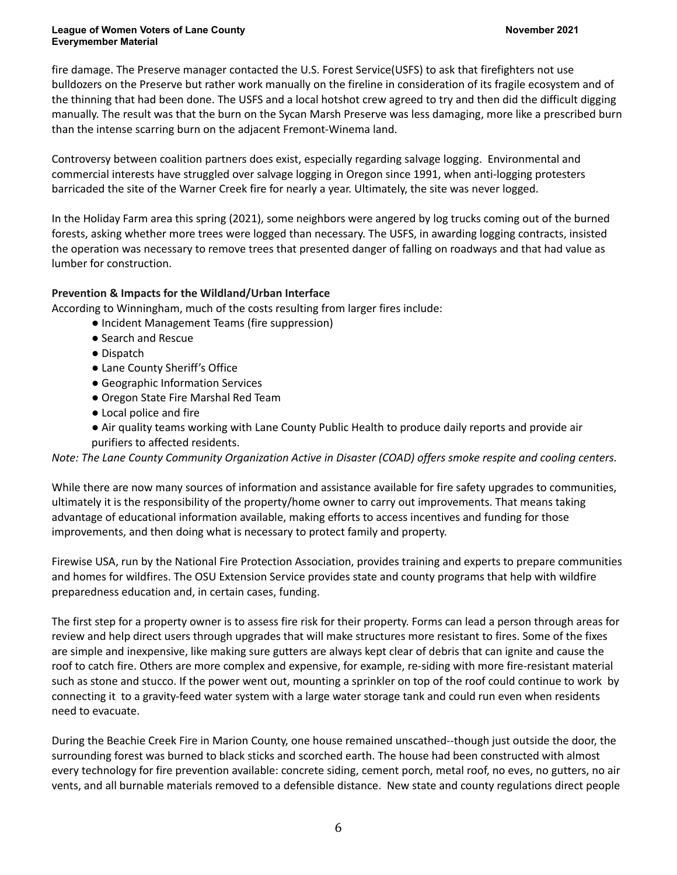fire damage. The Preserve manager contacted the U.S. Forest Service(USFS) to ask that firefighters not use bulldozers on the Preserve but rather work manually on the fireline in consideration of its fragile ecosystem and of the thinning that had been done. The USFS and a local hotshot crew agreed to try and then did the difficult digging manually. The result was that the burn on the Sycan Marsh Preserve was less damaging, more like a prescribed burn than the intense scarring burn on the adjacent Fremont-Winema land.

Controversy between coalition partners does exist, especially regarding salvage logging. Environmental and commercial interests have struggled over salvage logging in Oregon since 1991, when anti-logging protesters barricaded the site of the Warner Creek fire for nearly a year. Ultimately, the site was never logged.

In the Holiday Farm area this spring (2021), some neighbors were angered by log trucks coming out of the burned forests, asking whether more trees were logged than necessary. The USFS, in awarding logging contracts, insisted the operation was necessary to remove trees that presented danger of falling on roadways and that had value as lumber for construction.

## **Prevention & Impacts for the Wildland/Urban Interface**

According to Winningham, much of the costs resulting from larger fires include:

- Incident Management Teams (fire suppression)
- Search and Rescue
- Dispatch
- Lane County Sheriff's Office
- Geographic Information Services
- Oregon State Fire Marshal Red Team
- Local police and fire
- Air quality teams working with Lane County Public Health to produce daily reports and provide air purifiers to affected residents.

*Note: The Lane County Community Organization Active in Disaster (COAD) offers smoke respite and cooling centers.*

While there are now many sources of information and assistance available for fire safety upgrades to communities, ultimately it is the responsibility of the property/home owner to carry out improvements. That means taking advantage of educational information available, making efforts to access incentives and funding for those improvements, and then doing what is necessary to protect family and property.

Firewise USA, run by the National Fire Protection Association, provides training and experts to prepare communities and homes for wildfires. The OSU Extension Service provides state and county programs that help with wildfire preparedness education and, in certain cases, funding.

The first step for a property owner is to assess fire risk for their property. Forms can lead a person through areas for review and help direct users through upgrades that will make structures more resistant to fires. Some of the fixes are simple and inexpensive, like making sure gutters are always kept clear of debris that can ignite and cause the roof to catch fire. Others are more complex and expensive, for example, re-siding with more fire-resistant material such as stone and stucco. If the power went out, mounting a sprinkler on top of the roof could continue to work by connecting it to a gravity-feed water system with a large water storage tank and could run even when residents need to evacuate.

During the Beachie Creek Fire in Marion County, one house remained unscathed--though just outside the door, the surrounding forest was burned to black sticks and scorched earth. The house had been constructed with almost every technology for fire prevention available: concrete siding, cement porch, metal roof, no eves, no gutters, no air vents, and all burnable materials removed to a defensible distance. New state and county regulations direct people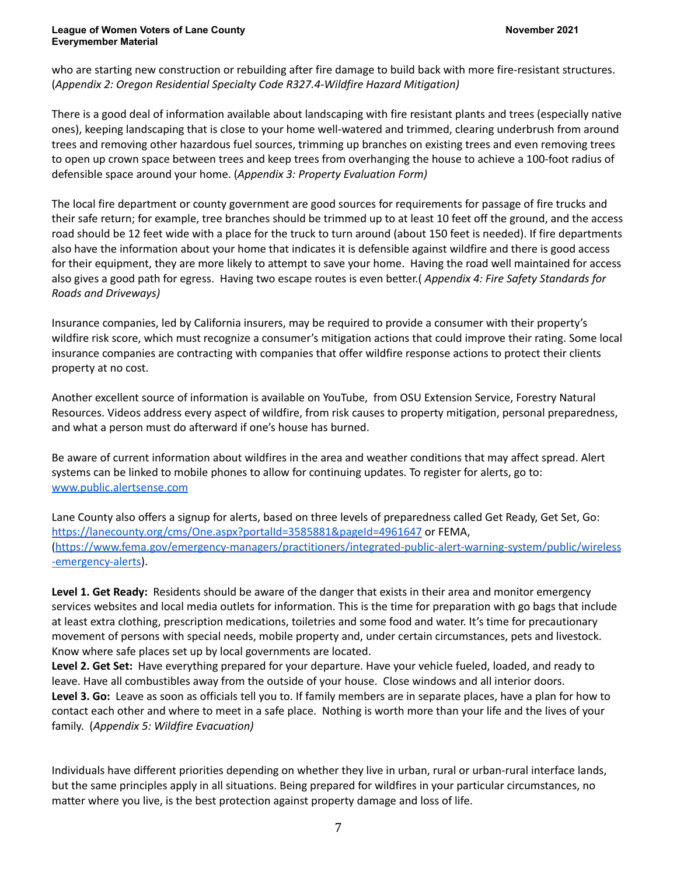who are starting new construction or rebuilding after fire damage to build back with more fire-resistant structures. (*Appendix 2: Oregon Residential Specialty Code R327.4-Wildfire Hazard Mitigation)*

There is a good deal of information available about landscaping with fire resistant plants and trees (especially native ones), keeping landscaping that is close to your home well-watered and trimmed, clearing underbrush from around trees and removing other hazardous fuel sources, trimming up branches on existing trees and even removing trees to open up crown space between trees and keep trees from overhanging the house to achieve a 100-foot radius of defensible space around your home. (*Appendix 3: Property Evaluation Form)*

The local fire department or county government are good sources for requirements for passage of fire trucks and their safe return; for example, tree branches should be trimmed up to at least 10 feet off the ground, and the access road should be 12 feet wide with a place for the truck to turn around (about 150 feet is needed). If fire departments also have the information about your home that indicates it is defensible against wildfire and there is good access for their equipment, they are more likely to attempt to save your home. Having the road well maintained for access also gives a good path for egress. Having two escape routes is even better.( *Appendix 4: Fire Safety Standards for Roads and Driveways)*

Insurance companies, led by California insurers, may be required to provide a consumer with their property's wildfire risk score, which must recognize a consumer's mitigation actions that could improve their rating. Some local insurance companies are contracting with companies that offer wildfire response actions to protect their clients property at no cost.

Another excellent source of information is available on YouTube, from OSU Extension Service, Forestry Natural Resources. Videos address every aspect of wildfire, from risk causes to property mitigation, personal preparedness, and what a person must do afterward if one's house has burned.

Be aware of current information about wildfires in the area and weather conditions that may affect spread. Alert systems can be linked to mobile phones to allow for continuing updates. To register for alerts, go to: [www.public.alertsense.com](http://www.public.alertsense.com)

Lane County also offers a signup for alerts, based on three levels of preparedness called Get Ready, Get Set, Go: <https://lanecounty.org/cms/One.aspx?portalId=3585881&pageId=4961647> or FEMA, [\(https://www.fema.gov/emergency-managers/practitioners/integrated-public-alert-warning-system/public/wireless](https://www.fema.gov/emergency-managers/practitioners/integrated-public-alert-warning-system/public/wireless-emergency-alerts) [-emergency-alerts\)](https://www.fema.gov/emergency-managers/practitioners/integrated-public-alert-warning-system/public/wireless-emergency-alerts).

**Level 1. Get Ready:** Residents should be aware of the danger that exists in their area and monitor emergency services websites and local media outlets for information. This is the time for preparation with go bags that include at least extra clothing, prescription medications, toiletries and some food and water. It's time for precautionary movement of persons with special needs, mobile property and, under certain circumstances, pets and livestock. Know where safe places set up by local governments are located.

**Level 2. Get Set:** Have everything prepared for your departure. Have your vehicle fueled, loaded, and ready to leave. Have all combustibles away from the outside of your house. Close windows and all interior doors. **Level 3. Go:** Leave as soon as officials tell you to. If family members are in separate places, have a plan for how to contact each other and where to meet in a safe place. Nothing is worth more than your life and the lives of your family. (*Appendix 5: Wildfire Evacuation)*

Individuals have different priorities depending on whether they live in urban, rural or urban-rural interface lands, but the same principles apply in all situations. Being prepared for wildfires in your particular circumstances, no matter where you live, is the best protection against property damage and loss of life.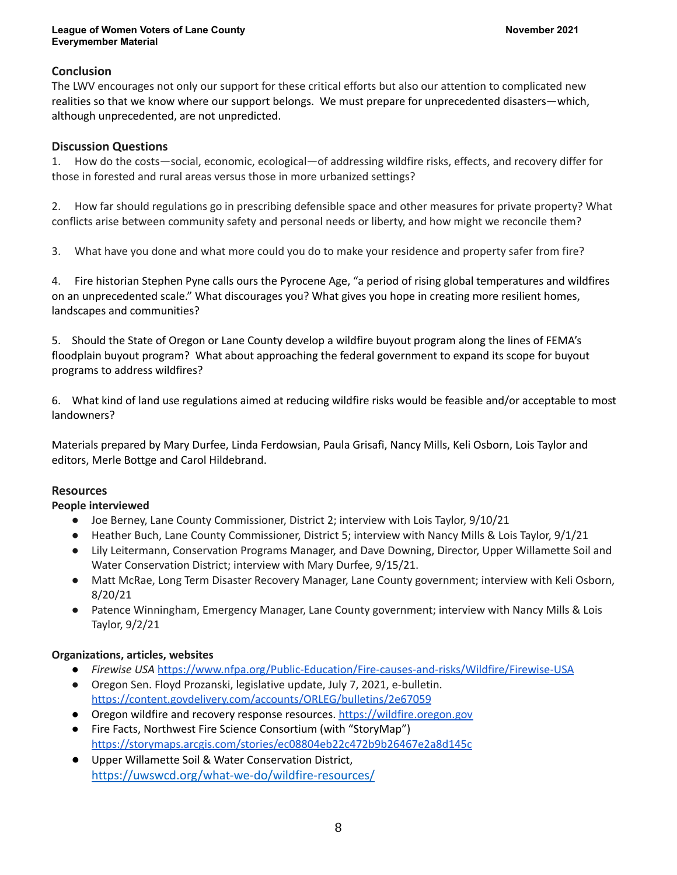## **Conclusion**

The LWV encourages not only our support for these critical efforts but also our attention to complicated new realities so that we know where our support belongs. We must prepare for unprecedented disasters—which, although unprecedented, are not unpredicted.

### **Discussion Questions**

1. How do the costs—social, economic, ecological—of addressing wildfire risks, effects, and recovery differ for those in forested and rural areas versus those in more urbanized settings?

2. How far should regulations go in prescribing defensible space and other measures for private property? What conflicts arise between community safety and personal needs or liberty, and how might we reconcile them?

3. What have you done and what more could you do to make your residence and property safer from fire?

4. Fire historian Stephen Pyne calls ours the Pyrocene Age, "a period of rising global temperatures and wildfires on an unprecedented scale." What discourages you? What gives you hope in creating more resilient homes, landscapes and communities?

5. Should the State of Oregon or Lane County develop a wildfire buyout program along the lines of FEMA's floodplain buyout program? What about approaching the federal government to expand its scope for buyout programs to address wildfires?

6. What kind of land use regulations aimed at reducing wildfire risks would be feasible and/or acceptable to most landowners?

Materials prepared by Mary Durfee, Linda Ferdowsian, Paula Grisafi, Nancy Mills, Keli Osborn, Lois Taylor and editors, Merle Bottge and Carol Hildebrand.

### **Resources**

### **People interviewed**

- Joe Berney, Lane County Commissioner, District 2; interview with Lois Taylor, 9/10/21
- Heather Buch, Lane County Commissioner, District 5; interview with Nancy Mills & Lois Taylor, 9/1/21
- Lily Leitermann, Conservation Programs Manager, and Dave Downing, Director, Upper Willamette Soil and Water Conservation District; interview with Mary Durfee, 9/15/21.
- Matt McRae, Long Term Disaster Recovery Manager, Lane County government; interview with Keli Osborn, 8/20/21
- Patence Winningham, Emergency Manager, Lane County government; interview with Nancy Mills & Lois Taylor, 9/2/21

### **Organizations, articles, websites**

- *Firewise USA* <https://www.nfpa.org/Public-Education/Fire-causes-and-risks/Wildfire/Firewise-USA>
- Oregon Sen. Floyd Prozanski, legislative update, July 7, 2021, e-bulletin. <https://content.govdelivery.com/accounts/ORLEG/bulletins/2e67059>
- Oregon wildfire and recovery response resources. <https://wildfire.oregon.gov>
- Fire Facts, Northwest Fire Science Consortium (with "StoryMap") <https://storymaps.arcgis.com/stories/ec08804eb22c472b9b26467e2a8d145c>
- Upper Willamette Soil & Water Conservation District, <https://uwswcd.org/what-we-do/wildfire-resources/>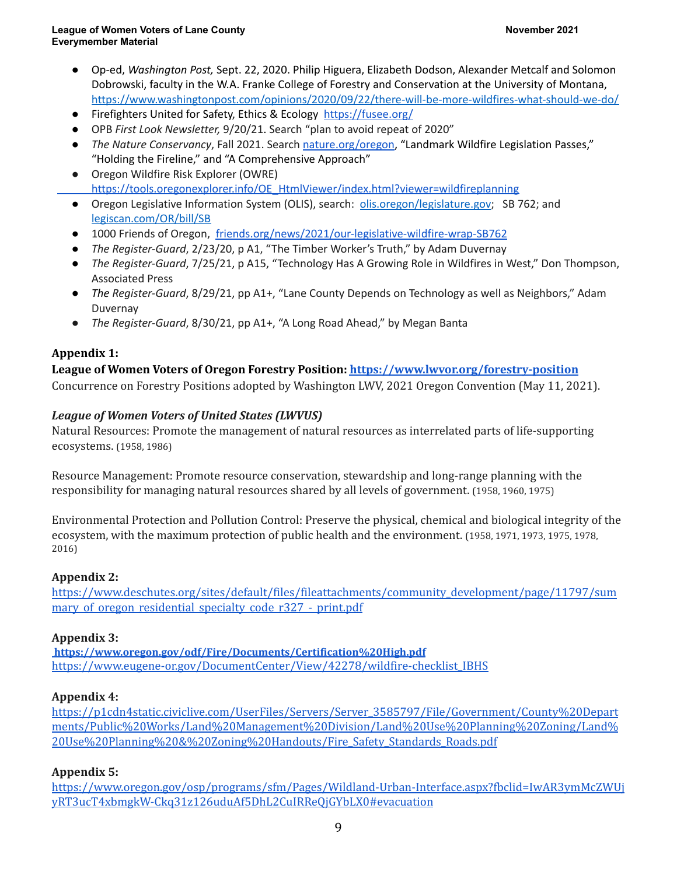- Op-ed, *Washington Post,* Sept. 22, 2020. Philip Higuera, Elizabeth Dodson, Alexander Metcalf and Solomon Dobrowski, faculty in the W.A. Franke College of Forestry and Conservation at the University of Montana, <https://www.washingtonpost.com/opinions/2020/09/22/there-will-be-more-wildfires-what-should-we-do/>
- Firefighters United for Safety, Ethics & Ecology <https://fusee.org/>
- OPB *First Look Newsletter,* 9/20/21. Search "plan to avoid repeat of 2020"
- *The Nature Conservancy*, Fall 2021. Search [nature.org/oregon,](http://nature.org/oregon) "Landmark Wildfire Legislation Passes," "Holding the Fireline," and "A Comprehensive Approach"
- Oregon Wildfire Risk Explorer (OWRE) [https://tools.oregonexplorer.info/OE\\_HtmlViewer/index.html?viewer=wildfireplanning](https://tools.oregonexplorer.info/OE_HtmlViewer/index.html?viewer=wildfireplanning)
- Oregon Legislative Information System (OLIS), search: [olis.oregon/legislature.gov](https://olis.oregon/legislature.gov); SB 762; and [legiscan.com/OR/bill/SB](http://legiscan.com/OR/bill/SB)
- 1000 Friends of Oregon, [friends.org/news/2021/our-legislative-wildfire-wrap-SB762](https://friends.org/news/2021/our-legislative-wildfire-wrap-SB762)
- *The Register-Guard*, 2/23/20, p A1, "The Timber Worker's Truth," by Adam Duvernay
- *The Register-Guard*, 7/25/21, p A15, "Technology Has A Growing Role in Wildfires in West," Don Thompson, Associated Press
- *The Register-Guard*, 8/29/21, pp A1+, "Lane County Depends on Technology as well as Neighbors," Adam Duvernay
- *The Register-Guard*, 8/30/21, pp A1+, "A Long Road Ahead," by Megan Banta

# **Appendix 1:**

# **League of Women Voters of Oregon Forestry Position: <https://www.lwvor.org/forestry-position>**

Concurrence on Forestry Positions adopted by Washington LWV, 2021 Oregon Convention (May 11, 2021).

# *League of Women Voters of United States (LWVUS)*

Natural Resources: Promote the management of natural resources as interrelated parts of life-supporting ecosystems. (1958, 1986)

Resource Management: Promote resource conservation, stewardship and long-range planning with the responsibility for managing natural resources shared by all levels of government. (1958, 1960, 1975)

Environmental Protection and Pollution Control: Preserve the physical, chemical and biological integrity of the ecosystem, with the maximum protection of public health and the environment. (1958, 1971, 1973, 1975, 1978, 2016)

## **Appendix 2:**

[https://www.deschutes.org/sites/default/files/fileattachments/community\\_development/page/11797/sum](https://www.deschutes.org/sites/default/files/fileattachments/community_development/page/11797/summary_of_oregon_residential_specialty_code_r327_-_print.pdf) mary of oregon residential specialty code r327 - print.pdf

## **Appendix 3:**

**<https://www.oregon.gov/odf/Fire/Documents/Certification%20High.pdf>** [https://www.eugene-or.gov/DocumentCenter/View/42278/wildfire-checklist\\_IBHS](https://www.eugene-or.gov/DocumentCenter/View/42278/wildfire-checklist_IBHS)

## **Appendix 4:**

[https://p1cdn4static.civiclive.com/UserFiles/Servers/Server\\_3585797/File/Government/County%20Depart](https://p1cdn4static.civiclive.com/UserFiles/Servers/Server_3585797/File/Government/County%20Departments/Public%20Works/Land%20Management%20Division/Land%20Use%20Planning%20Zoning/Land%20Use%20Planning%20&%20Zoning%20Handouts/Fire_Safety_Standards_Roads.pdf) [ments/Public%20Works/Land%20Management%20Division/Land%20Use%20Planning%20Zoning/Land%](https://p1cdn4static.civiclive.com/UserFiles/Servers/Server_3585797/File/Government/County%20Departments/Public%20Works/Land%20Management%20Division/Land%20Use%20Planning%20Zoning/Land%20Use%20Planning%20&%20Zoning%20Handouts/Fire_Safety_Standards_Roads.pdf) [20Use%20Planning%20&%20Zoning%20Handouts/Fire\\_Safety\\_Standards\\_Roads.pdf](https://p1cdn4static.civiclive.com/UserFiles/Servers/Server_3585797/File/Government/County%20Departments/Public%20Works/Land%20Management%20Division/Land%20Use%20Planning%20Zoning/Land%20Use%20Planning%20&%20Zoning%20Handouts/Fire_Safety_Standards_Roads.pdf)

## **Appendix 5:**

[https://www.oregon.gov/osp/programs/sfm/Pages/Wildland-Urban-Interface.aspx?fbclid=IwAR3ymMcZWUj](https://www.oregon.gov/osp/programs/sfm/Pages/Wildland-Urban-Interface.aspx?fbclid=IwAR3ymMcZWUjyRT3ucT4xbmgkW-Ckq31z126uduAf5DhL2CuIRReQjGYbLX0#evacuation) [yRT3ucT4xbmgkW-Ckq31z126uduAf5DhL2CuIRReQjGYbLX0#evacuation](https://www.oregon.gov/osp/programs/sfm/Pages/Wildland-Urban-Interface.aspx?fbclid=IwAR3ymMcZWUjyRT3ucT4xbmgkW-Ckq31z126uduAf5DhL2CuIRReQjGYbLX0#evacuation)